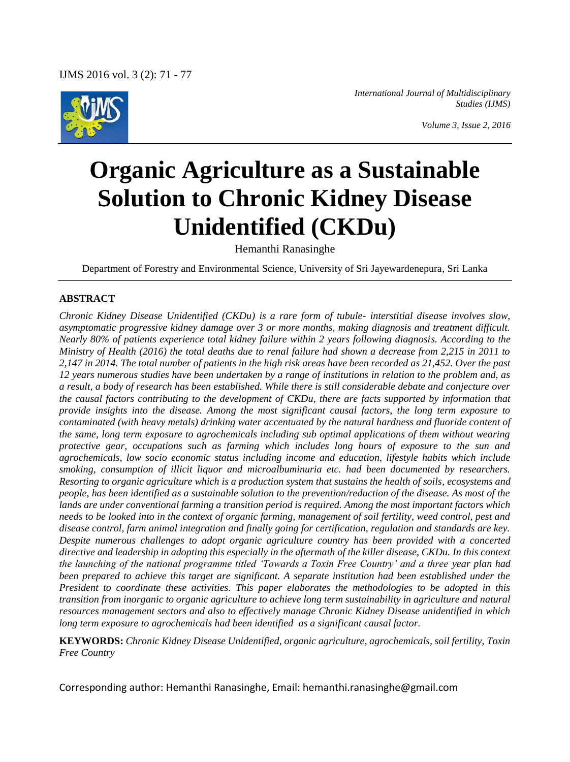

*International Journal of Multidisciplinary Studies (IJMS)*

# **Organic Agriculture as a Sustainable Solution to Chronic Kidney Disease Unidentified (CKDu)**

Hemanthi Ranasinghe

Department of Forestry and Environmental Science, University of Sri Jayewardenepura, Sri Lanka

### **ABSTRACT**

*Chronic Kidney Disease Unidentified (CKDu) is a rare form of tubule- interstitial disease involves slow, asymptomatic progressive kidney damage over 3 or more months, making diagnosis and treatment difficult. Nearly 80% of patients experience total kidney failure within 2 years following diagnosis. According to the Ministry of Health (2016) the total deaths due to renal failure had shown a decrease from 2,215 in 2011 to 2,147 in 2014. The total number of patients in the high risk areas have been recorded as 21,452. Over the past 12 years numerous studies have been undertaken by a range of institutions in relation to the problem and, as a result, a body of research has been established. While there is still considerable debate and conjecture over the causal factors contributing to the development of CKDu, there are facts supported by information that provide insights into the disease. Among the most significant causal factors, the long term exposure to contaminated (with heavy metals) drinking water accentuated by the natural hardness and fluoride content of the same, long term exposure to agrochemicals including sub optimal applications of them without wearing protective gear, occupations such as farming which includes long hours of exposure to the sun and agrochemicals, low socio economic status including income and education, lifestyle habits which include smoking, consumption of illicit liquor and microalbuminuria etc. had been documented by researchers. Resorting to organic agriculture which is a production system that sustains the health of soils, ecosystems and people, has been identified as a sustainable solution to the prevention/reduction of the disease. As most of the lands are under conventional farming a transition period is required. Among the most important factors which needs to be looked into in the context of organic farming, management of soil fertility, weed control, pest and disease control, farm animal integration and finally going for certification, regulation and standards are key. Despite numerous challenges to adopt organic agriculture country has been provided with a concerted directive and leadership in adopting this especially in the aftermath of the killer disease, CKDu. In this context the launching of the national programme titled 'Towards a Toxin Free Country' and a three year plan had been prepared to achieve this target are significant. A separate institution had been established under the President to coordinate these activities. This paper elaborates the methodologies to be adopted in this transition from inorganic to organic agriculture to achieve long term sustainability in agriculture and natural resources management sectors and also to effectively manage Chronic Kidney Disease unidentified in which long term exposure to agrochemicals had been identified as a significant causal factor.*

**KEYWORDS:** *Chronic Kidney Disease Unidentified, organic agriculture, agrochemicals, soil fertility, Toxin Free Country*

Corresponding author: Hemanthi Ranasinghe, Email: hemanthi.ranasinghe@gmail.com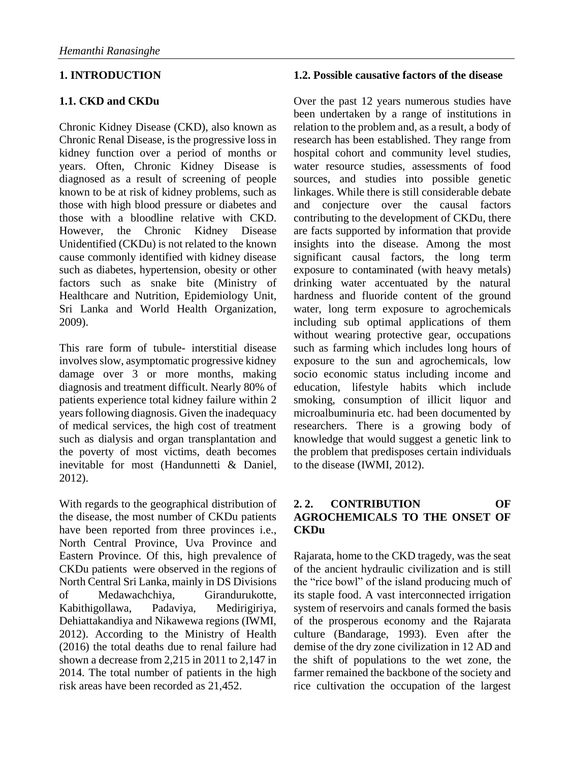## **1. INTRODUCTION**

## **1.1. CKD and CKDu**

Chronic Kidney Disease (CKD), also known as Chronic Renal Disease, is the progressive loss in kidney function over a period of months or years. Often, Chronic Kidney Disease is diagnosed as a result of screening of people known to be at risk of kidney problems, such as those with high blood pressure or diabetes and those with a bloodline relative with CKD. However, the Chronic Kidney Disease Unidentified (CKDu) is not related to the known cause commonly identified with kidney disease such as diabetes, hypertension, obesity or other factors such as snake bite (Ministry of Healthcare and Nutrition, Epidemiology Unit, Sri Lanka and World Health Organization, 2009).

This rare form of tubule- interstitial disease involves slow, asymptomatic progressive kidney damage over 3 or more months, making diagnosis and treatment difficult. Nearly 80% of patients experience total kidney failure within 2 years following diagnosis. Given the inadequacy of medical services, the high cost of treatment such as dialysis and organ transplantation and the poverty of most victims, death becomes inevitable for most (Handunnetti & Daniel, 2012).

With regards to the geographical distribution of the disease, the most number of CKDu patients have been reported from three provinces i.e., North Central Province, Uva Province and Eastern Province. Of this, high prevalence of CKDu patients were observed in the regions of North Central Sri Lanka, mainly in DS Divisions of Medawachchiya, Girandurukotte, Kabithigollawa, Padaviya, Medirigiriya, Dehiattakandiya and Nikawewa regions (IWMI, 2012). According to the Ministry of Health (2016) the total deaths due to renal failure had shown a decrease from 2,215 in 2011 to 2,147 in 2014. The total number of patients in the high risk areas have been recorded as 21,452.

#### **1.2. Possible causative factors of the disease**

Over the past 12 years numerous studies have been undertaken by a range of institutions in relation to the problem and, as a result, a body of research has been established. They range from hospital cohort and community level studies, water resource studies, assessments of food sources, and studies into possible genetic linkages. While there is still considerable debate and conjecture over the causal factors contributing to the development of CKDu, there are facts supported by information that provide insights into the disease. Among the most significant causal factors, the long term exposure to contaminated (with heavy metals) drinking water accentuated by the natural hardness and fluoride content of the ground water, long term exposure to agrochemicals including sub optimal applications of them without wearing protective gear, occupations such as farming which includes long hours of exposure to the sun and agrochemicals, low socio economic status including income and education, lifestyle habits which include smoking, consumption of illicit liquor and microalbuminuria etc. had been documented by researchers. There is a growing body of knowledge that would suggest a genetic link to the problem that predisposes certain individuals to the disease (IWMI, 2012).

#### **2. 2. CONTRIBUTION OF AGROCHEMICALS TO THE ONSET OF CKDu**

Rajarata, home to the CKD tragedy, was the seat of the ancient hydraulic civilization and is still the "rice bowl" of the island producing much of its staple food. A vast interconnected irrigation system of reservoirs and canals formed the basis of the prosperous economy and the Rajarata culture (Bandarage, 1993). Even after the demise of the dry zone civilization in 12 AD and the shift of populations to the wet zone, the farmer remained the backbone of the society and rice cultivation the occupation of the largest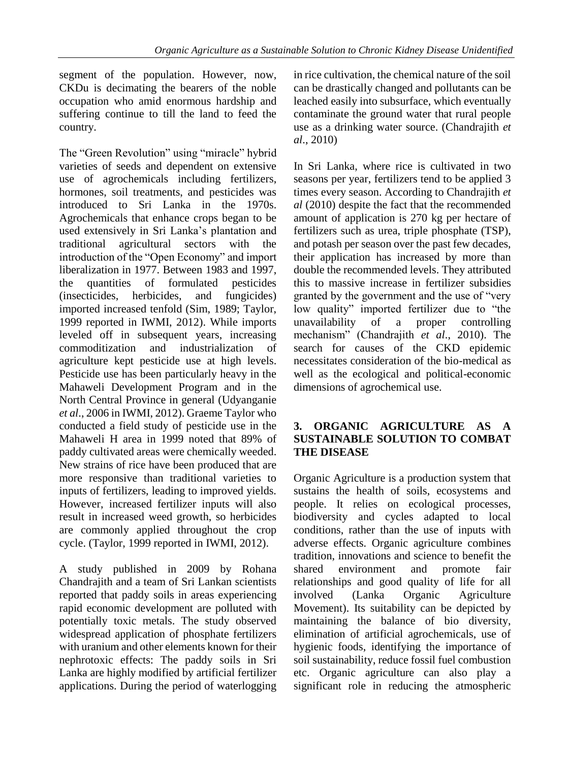segment of the population. However, now, CKDu is decimating the bearers of the noble occupation who amid enormous hardship and suffering continue to till the land to feed the country.

The "Green Revolution" using "miracle" hybrid varieties of seeds and dependent on extensive use of agrochemicals including fertilizers, hormones, soil treatments, and pesticides was introduced to Sri Lanka in the 1970s. Agrochemicals that enhance crops began to be used extensively in Sri Lanka's plantation and traditional agricultural sectors with the introduction of the "Open Economy" and import liberalization in 1977. Between 1983 and 1997, the quantities of formulated pesticides (insecticides, herbicides, and fungicides) imported increased tenfold (Sim, 1989; Taylor, 1999 reported in IWMI, 2012). While imports leveled off in subsequent years, increasing commoditization and industrialization of agriculture kept pesticide use at high levels. Pesticide use has been particularly heavy in the Mahaweli Development Program and in the North Central Province in general (Udyanganie *et al*., 2006 in IWMI, 2012). Graeme Taylor who conducted a field study of pesticide use in the Mahaweli H area in 1999 noted that 89% of paddy cultivated areas were chemically weeded. New strains of rice have been produced that are more responsive than traditional varieties to inputs of fertilizers, leading to improved yields. However, increased fertilizer inputs will also result in increased weed growth, so herbicides are commonly applied throughout the crop cycle. (Taylor, 1999 reported in IWMI, 2012).

A study published in 2009 by Rohana Chandrajith and a team of Sri Lankan scientists reported that paddy soils in areas experiencing rapid economic development are polluted with potentially toxic metals. The study observed widespread application of phosphate fertilizers with uranium and other elements known for their nephrotoxic effects: The paddy soils in Sri Lanka are highly modified by artificial fertilizer applications. During the period of waterlogging

in rice cultivation, the chemical nature of the soil can be drastically changed and pollutants can be leached easily into subsurface, which eventually contaminate the ground water that rural people use as a drinking water source. (Chandrajith *et al*., 2010)

In Sri Lanka, where rice is cultivated in two seasons per year, fertilizers tend to be applied 3 times every season. According to Chandrajith *et al* (2010) despite the fact that the recommended amount of application is 270 kg per hectare of fertilizers such as urea, triple phosphate (TSP), and potash per season over the past few decades, their application has increased by more than double the recommended levels. They attributed this to massive increase in fertilizer subsidies granted by the government and the use of "very low quality" imported fertilizer due to "the unavailability of a proper controlling mechanism" (Chandrajith *et al*., 2010). The search for causes of the CKD epidemic necessitates consideration of the bio-medical as well as the ecological and political-economic dimensions of agrochemical use.

#### **3. ORGANIC AGRICULTURE AS A SUSTAINABLE SOLUTION TO COMBAT THE DISEASE**

Organic Agriculture is a production system that sustains the health of soils, ecosystems and people. It relies on ecological processes, biodiversity and cycles adapted to local conditions, rather than the use of inputs with adverse effects. Organic agriculture combines tradition, innovations and science to benefit the shared environment and promote fair relationships and good quality of life for all involved (Lanka Organic Agriculture Movement). Its suitability can be depicted by maintaining the balance of bio diversity, elimination of artificial agrochemicals, use of hygienic foods, identifying the importance of soil sustainability, reduce fossil fuel combustion etc. Organic agriculture can also play a significant role in reducing the atmospheric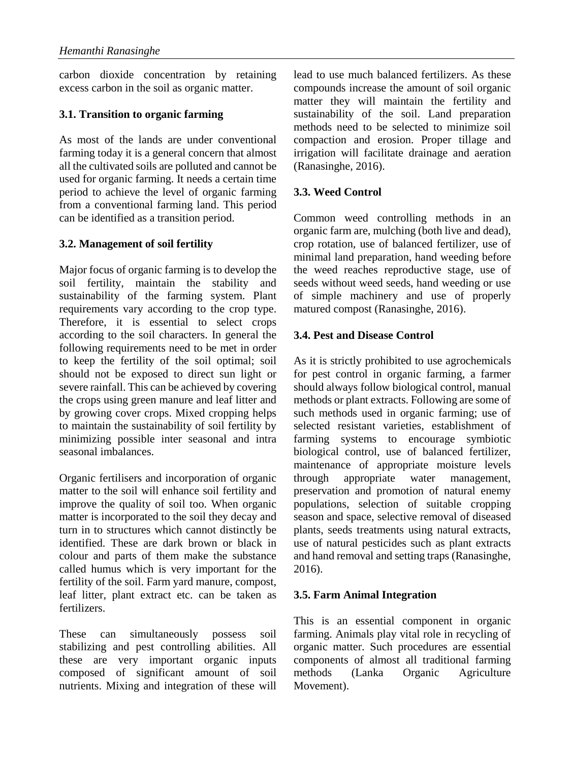carbon dioxide concentration by retaining excess carbon in the soil as organic matter.

# **3.1. Transition to organic farming**

As most of the lands are under conventional farming today it is a general concern that almost all the cultivated soils are polluted and cannot be used for organic farming. It needs a certain time period to achieve the level of organic farming from a conventional farming land. This period can be identified as a transition period.

# **3.2. Management of soil fertility**

Major focus of organic farming is to develop the soil fertility, maintain the stability and sustainability of the farming system. Plant requirements vary according to the crop type. Therefore, it is essential to select crops according to the soil characters. In general the following requirements need to be met in order to keep the fertility of the soil optimal; soil should not be exposed to direct sun light or severe rainfall. This can be achieved by covering the crops using green manure and leaf litter and by growing cover crops. Mixed cropping helps to maintain the sustainability of soil fertility by minimizing possible inter seasonal and intra seasonal imbalances.

Organic fertilisers and incorporation of organic matter to the soil will enhance soil fertility and improve the quality of soil too. When organic matter is incorporated to the soil they decay and turn in to structures which cannot distinctly be identified. These are dark brown or black in colour and parts of them make the substance called humus which is very important for the fertility of the soil. Farm yard manure, compost, leaf litter, plant extract etc. can be taken as fertilizers.

These can simultaneously possess soil stabilizing and pest controlling abilities. All these are very important organic inputs composed of significant amount of soil nutrients. Mixing and integration of these will lead to use much balanced fertilizers. As these compounds increase the amount of soil organic matter they will maintain the fertility and sustainability of the soil. Land preparation methods need to be selected to minimize soil compaction and erosion. Proper tillage and irrigation will facilitate drainage and aeration (Ranasinghe, 2016).

# **3.3. Weed Control**

Common weed controlling methods in an organic farm are, mulching (both live and dead), crop rotation, use of balanced fertilizer, use of minimal land preparation, hand weeding before the weed reaches reproductive stage, use of seeds without weed seeds, hand weeding or use of simple machinery and use of properly matured compost (Ranasinghe, 2016).

# **3.4. Pest and Disease Control**

As it is strictly prohibited to use agrochemicals for pest control in organic farming, a farmer should always follow biological control, manual methods or plant extracts. Following are some of such methods used in organic farming; use of selected resistant varieties, establishment of farming systems to encourage symbiotic biological control, use of balanced fertilizer, maintenance of appropriate moisture levels through appropriate water management, preservation and promotion of natural enemy populations, selection of suitable cropping season and space, selective removal of diseased plants, seeds treatments using natural extracts, use of natural pesticides such as plant extracts and hand removal and setting traps (Ranasinghe, 2016).

## **3.5. Farm Animal Integration**

This is an essential component in organic farming. Animals play vital role in recycling of organic matter. Such procedures are essential components of almost all traditional farming methods (Lanka Organic Agriculture Movement).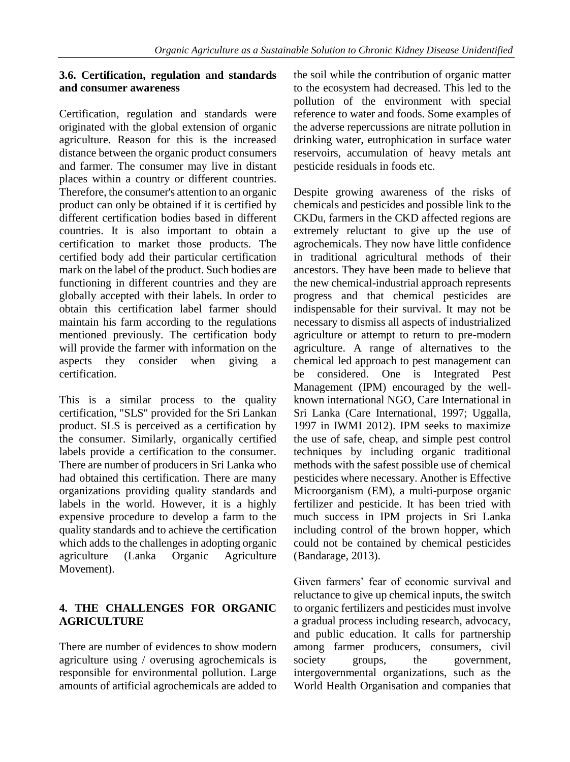### **3.6. Certification, regulation and standards and consumer awareness**

Certification, regulation and standards were originated with the global extension of organic agriculture. Reason for this is the increased distance between the organic product consumers and farmer. The consumer may live in distant places within a country or different countries. Therefore, the consumer's attention to an organic product can only be obtained if it is certified by different certification bodies based in different countries. It is also important to obtain a certification to market those products. The certified body add their particular certification mark on the label of the product. Such bodies are functioning in different countries and they are globally accepted with their labels. In order to obtain this certification label farmer should maintain his farm according to the regulations mentioned previously. The certification body will provide the farmer with information on the aspects they consider when giving a certification.

This is a similar process to the quality certification, "SLS" provided for the Sri Lankan product. SLS is perceived as a certification by the consumer. Similarly, organically certified labels provide a certification to the consumer. There are number of producers in Sri Lanka who had obtained this certification. There are many organizations providing quality standards and labels in the world. However, it is a highly expensive procedure to develop a farm to the quality standards and to achieve the certification which adds to the challenges in adopting organic agriculture (Lanka Organic Agriculture Movement).

# **4. THE CHALLENGES FOR ORGANIC AGRICULTURE**

There are number of evidences to show modern agriculture using / overusing agrochemicals is responsible for environmental pollution. Large amounts of artificial agrochemicals are added to

the soil while the contribution of organic matter to the ecosystem had decreased. This led to the pollution of the environment with special reference to water and foods. Some examples of the adverse repercussions are nitrate pollution in drinking water, eutrophication in surface water reservoirs, accumulation of heavy metals ant pesticide residuals in foods etc.

Despite growing awareness of the risks of chemicals and pesticides and possible link to the CKDu, farmers in the CKD affected regions are extremely reluctant to give up the use of agrochemicals. They now have little confidence in traditional agricultural methods of their ancestors. They have been made to believe that the new chemical-industrial approach represents progress and that chemical pesticides are indispensable for their survival. It may not be necessary to dismiss all aspects of industrialized agriculture or attempt to return to pre-modern agriculture. A range of alternatives to the chemical led approach to pest management can be considered. One is Integrated Pest Management (IPM) encouraged by the wellknown international NGO, Care International in Sri Lanka (Care International, 1997; Uggalla, 1997 in IWMI 2012). IPM seeks to maximize the use of safe, cheap, and simple pest control techniques by including organic traditional methods with the safest possible use of chemical pesticides where necessary. Another is Effective Microorganism (EM), a multi-purpose organic fertilizer and pesticide. It has been tried with much success in IPM projects in Sri Lanka including control of the brown hopper, which could not be contained by chemical pesticides (Bandarage, 2013).

Given farmers' fear of economic survival and reluctance to give up chemical inputs, the switch to organic fertilizers and pesticides must involve a gradual process including research, advocacy, and public education. It calls for partnership among farmer producers, consumers, civil society groups, the government, intergovernmental organizations, such as the World Health Organisation and companies that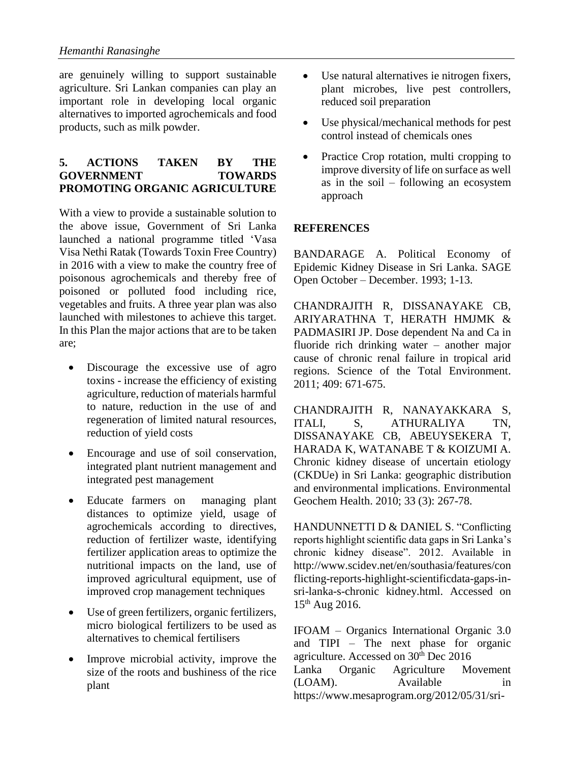are genuinely willing to support sustainable agriculture. Sri Lankan companies can play an important role in developing local organic alternatives to imported agrochemicals and food products, such as milk powder.

#### **5. ACTIONS TAKEN BY THE GOVERNMENT TOWARDS PROMOTING ORGANIC AGRICULTURE**

With a view to provide a sustainable solution to the above issue, Government of Sri Lanka launched a national programme titled 'Vasa Visa Nethi Ratak (Towards Toxin Free Country) in 2016 with a view to make the country free of poisonous agrochemicals and thereby free of poisoned or polluted food including rice, vegetables and fruits. A three year plan was also launched with milestones to achieve this target. In this Plan the major actions that are to be taken are;

- Discourage the excessive use of agro toxins - increase the efficiency of existing agriculture, reduction of materials harmful to nature, reduction in the use of and regeneration of limited natural resources, reduction of yield costs
- Encourage and use of soil conservation, integrated plant nutrient management and integrated pest management
- Educate farmers on managing plant distances to optimize yield, usage of agrochemicals according to directives, reduction of fertilizer waste, identifying fertilizer application areas to optimize the nutritional impacts on the land, use of improved agricultural equipment, use of improved crop management techniques
- Use of green fertilizers, organic fertilizers, micro biological fertilizers to be used as alternatives to chemical fertilisers
- Improve microbial activity, improve the size of the roots and bushiness of the rice plant
- Use natural alternatives ie nitrogen fixers, plant microbes, live pest controllers, reduced soil preparation
- Use physical/mechanical methods for pest control instead of chemicals ones
- Practice Crop rotation, multi cropping to improve diversity of life on surface as well as in the soil – following an ecosystem approach

## **REFERENCES**

BANDARAGE A. Political Economy of Epidemic Kidney Disease in Sri Lanka. SAGE Open October – December. 1993; 1-13.

CHANDRAJITH R, DISSANAYAKE CB, ARIYARATHNA T, HERATH HMJMK & PADMASIRI JP. Dose dependent Na and Ca in fluoride rich drinking water – another major cause of chronic renal failure in tropical arid regions. Science of the Total Environment. 2011; 409: 671-675.

CHANDRAJITH R, NANAYAKKARA S, ITALI, S, ATHURALIYA TN, DISSANAYAKE CB, ABEUYSEKERA T, HARADA K, WATANABE T & KOIZUMI A. Chronic kidney disease of uncertain etiology (CKDUe) in Sri Lanka: geographic distribution and environmental implications. Environmental Geochem Health. 2010; 33 (3): 267-78.

HANDUNNETTI D & DANIEL S. "Conflicting reports highlight scientific data gaps in Sri Lanka's chronic kidney disease". 2012. Available in http://www.scidev.net/en/southasia/features/con flicting-reports-highlight-scientificdata-gaps-insri-lanka-s-chronic kidney.html. Accessed on  $15^{th}$  Aug 2016.

IFOAM – Organics International Organic 3.0 and TIPI – The next phase for organic agriculture. Accessed on  $30<sup>th</sup>$  Dec 2016 Lanka Organic Agriculture Movement (LOAM). Available in https://www.mesaprogram.org/2012/05/31/sri